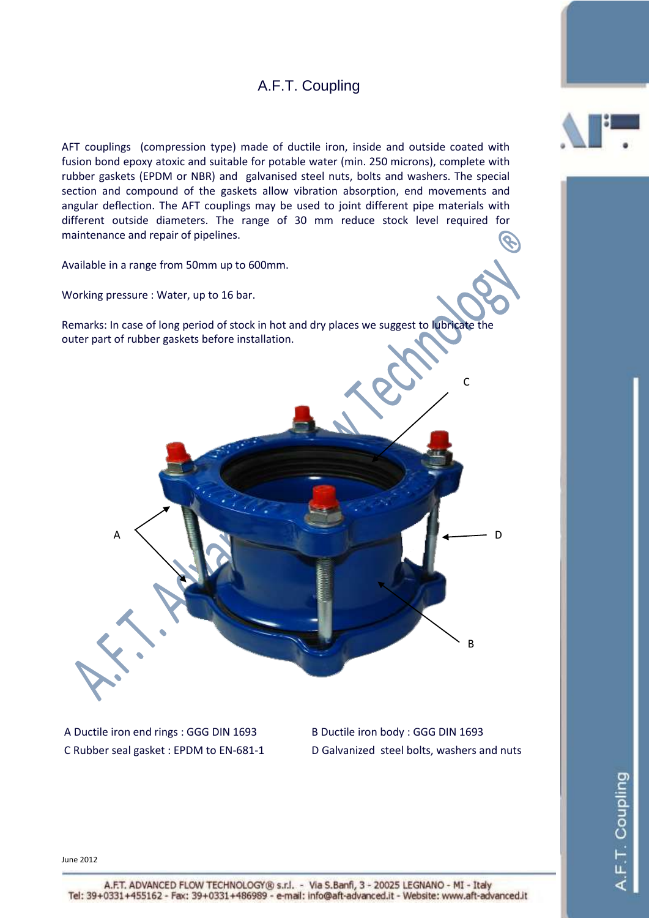## A.F.T. Coupling

AFT couplings (compression type) made of ductile iron, inside and outside coated with fusion bond epoxy atoxic and suitable for potable water (min. 250 microns), complete with rubber gaskets (EPDM or NBR) and galvanised steel nuts, bolts and washers. The special section and compound of the gaskets allow vibration absorption, end movements and angular deflection. The AFT couplings may be used to joint different pipe materials with different outside diameters. The range of 30 mm reduce stock level required for maintenance and repair of pipelines.

Available in a range from 50mm up to 600mm.

Working pressure : Water, up to 16 bar.

Remarks: In case of long period of stock in hot and dry places we suggest to lubricate the outer part of rubber gaskets before installation.

A Ductile iron end rings : GGG DIN 1693 B Ductile iron body : GGG DIN 1693

C Rubber seal gasket : EPDM to EN-681-1 D Galvanized steel bolts, washers and nuts

D

June 2012



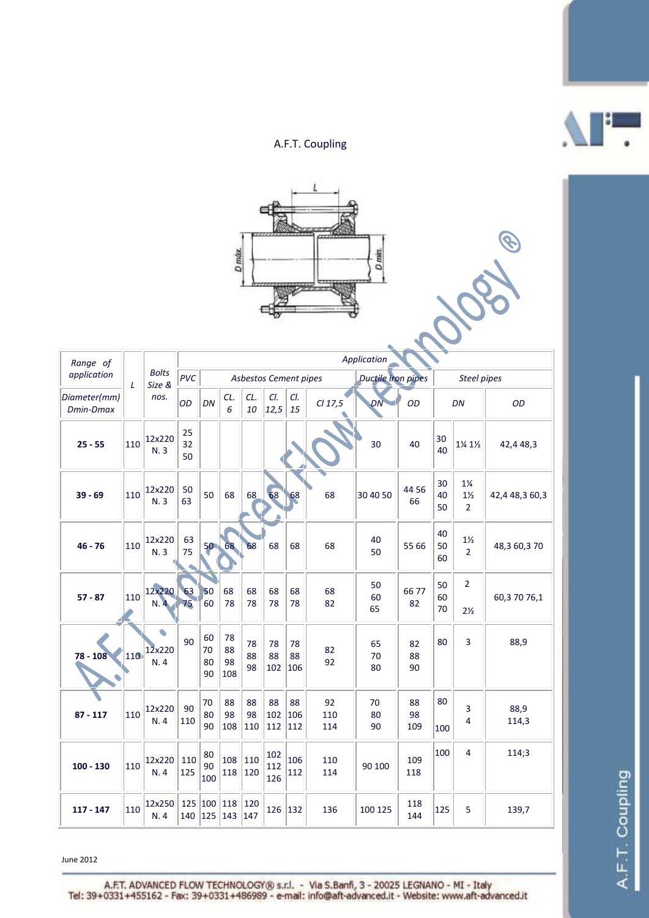## A.F.T. Coupling



| Range of<br>application   | L   | <b>Bolts</b><br>Size &<br>nos. | Application    |                      |                       |                 |                       |                  |                  |                    |                 |                |                                                    |                |
|---------------------------|-----|--------------------------------|----------------|----------------------|-----------------------|-----------------|-----------------------|------------------|------------------|--------------------|-----------------|----------------|----------------------------------------------------|----------------|
|                           |     |                                | PVC            |                      |                       |                 | Asbestos Cement pipes |                  |                  | Ductile iron pipes |                 | Steel pipes    |                                                    |                |
| Diameter(mm)<br>Dmin-Dmax |     |                                | OD             | DN                   | CL.<br>6              | CL.<br>10       | CI.<br>12,5           | CI.<br>15        | CI 17,5          | DN                 | OD              | DN             |                                                    | OD             |
| $25 - 55$                 | 110 | 12x220<br>N.3                  | 25<br>32<br>50 |                      |                       |                 |                       |                  |                  | 30                 | 40              | 30<br>40       | 1¼ 1½                                              | 42,4 48,3      |
| $39 - 69$                 | 110 | 12x220<br>N.3                  | 50<br>63       | 50                   | 68                    | 68              | 68                    | 68               | 68               | 30 40 50           | 44 56<br>66     | 30<br>40<br>50 | $1\frac{1}{4}$<br>$1\frac{1}{2}$<br>$\overline{2}$ | 42,4 48,3 60,3 |
| $46 - 76$                 | 110 | 12x220<br>N.3                  | 63<br>75       | 50 <sub>1</sub>      | 68                    | 68              | 68                    | 68               | 68               | 40<br>50           | 55 66           | 40<br>50<br>60 | $1\frac{1}{2}$<br>$\overline{2}$                   | 48,3 60,3 70   |
| $57 - 87$                 | 110 | 12x220<br>N.4                  | 63<br>75       | 50<br>60             | 68<br>78              | 68<br>78        | 68<br>78              | 68<br>78         | 68<br>82         | 50<br>60<br>65     | 6677<br>82      | 50<br>60<br>70 | $\overline{2}$<br>$2\frac{1}{2}$                   | 60,37076,1     |
| $78 - 108$                | 110 | $\bullet$<br>12x220<br>N.4     | 90             | 60<br>70<br>80<br>90 | 78<br>88<br>98<br>108 | 78<br>88<br>98  | 78<br>88<br>102       | 78<br>88<br>106  | 82<br>92         | 65<br>70<br>80     | 82<br>88<br>90  | 80             | 3                                                  | 88,9           |
| $87 - 117$                | 110 | 12x220<br>N.4                  | 90<br>110      | 70<br>80<br>90       | 88<br>98<br>108       | 88<br>98<br>110 | 88<br>102<br>112      | 88<br>106<br>112 | 92<br>110<br>114 | 70<br>80<br>90     | 88<br>98<br>109 | 80<br>100      | 3<br>4                                             | 88,9<br>114,3  |
| $100 - 130$               | 110 | 12x220<br>N.4                  | 110<br>125     | 80<br>90<br>100      | 108<br>118            | 110<br>120      | 102<br>112<br>126     | 106<br>112       | 110<br>114       | 90 100             | 109<br>118      | 100            | 4                                                  | 114;3          |
| $117 - 147$               | 110 | 12x250<br>N.4                  | 125<br>140     | 100 <br>125          | 118<br>143            | 120<br>147      | 126                   | 132              | 136              | 100 125            | 118<br>144      | 125            | 5                                                  | 139,7          |

June 2012

A.F.T. ADVANCED FLOW TECHNOLOGY® s.r.l. - Via S.Banfi, 3 - 20025 LEGNANO - MI - Italy<br>Tel: 39+0331+455162 - Fax: 39+0331+486989 - e-mail: info@aft-advanced.it - Website: www.aft-advanced.it



B